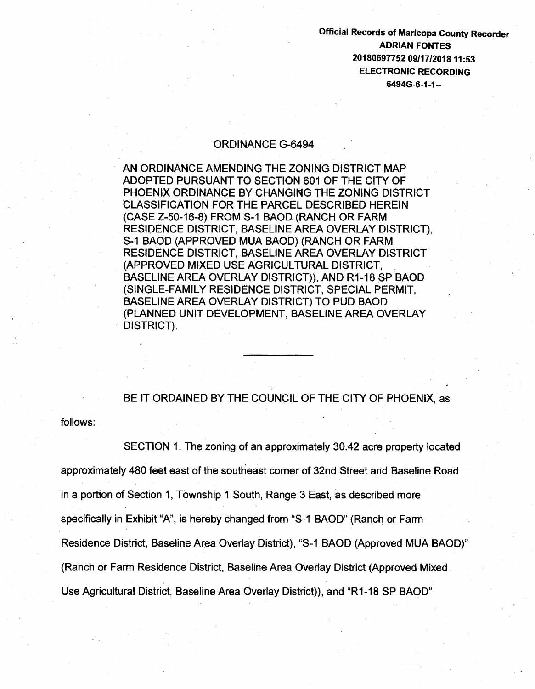Official Records of Maricopa County Recorder ADRIAN FONTES 20180697752 09/17/201811:53 ELECTRONIC RECORDING 6494G-6-1-1--

## ORDINANCE G-6494

AN ORDINANCE AMENDING THE ZONING. DISTRICT MAP ADOPTED PURSUANT TO SECTION 601 OF THE CITY OF PHOENIX ORDINANCE BY CHANGING THE ZONING DISTRICT CLASSIFICATION FOR THE PARCEL DESCRIBED HEREIN (CASE Z-50-16-8) FROM S-1 BAOD (RANCH OR FARM RESIDENCE DISTRICT, BASELINE AREA OVERLAY DISTRICT), S-1 BAOD (APPROVED MUA BAOD) (RANCH OR FARM RESIDENCE DISTRICT, BASELINE AREA OVERLAY DISTRICT (APPROVED MIXED USE AGRICULTURAL DISTRICT, BASELINE AREA OVERLAY DISTRICT)), AND R1-18 SP BAOD (SINGLE-FAMILY RESIDENCE DISTRICT, SPECIAL PERMIT, BASELINE AREA OVERLAY DISTRICT) TO PUD BAOD (PLANNED UNIT DEVELOPMENT, BASELINE AREA OVERLAY DISTRICT).

BE IT ORDAINED BY THE COUNCIL OF THE CITY OF PHOENIX, as

follows:

SECTION 1. The zoning of an approximately 30.42 acre property located approximately 480 feet east of the southeast corner of 32nd Street and Baseline Road in a portion of Section 1, Township 1 South, Range 3 East, as described more specifically in Exhibit "A", is hereby changed from "S-1 BAOD" (Ranch or Farm Residence District, Baseline Area Overlay District), "S-1 BAOD (Approved MUA BAOD)" (Ranch or Farm Residence District, Baseline Area Overlay District (Approved Mixed Use Agricultural District, Baseline Area Overlay District)), and "R1-18 SP BAOD"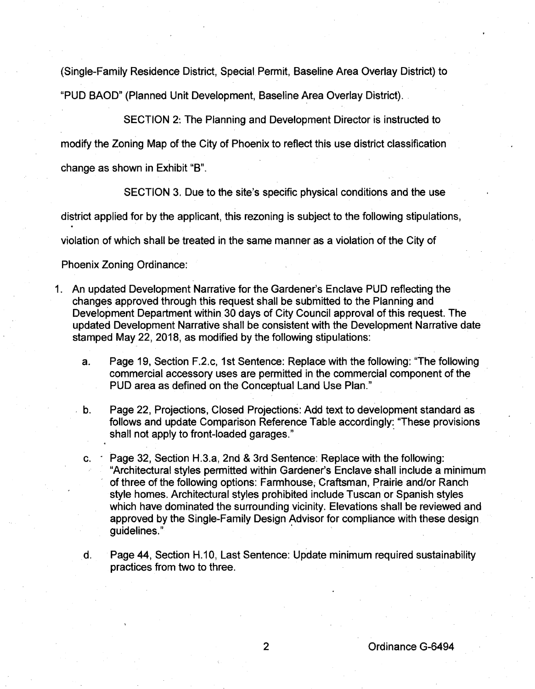(Single-Family Residence District, Special Permit, Baseline Area Overlay District) to "PUD BAOD" (Planned Unit Development, Baseline Area Overlay District) ..

SECTION 2: The Planning and Development Director is instructed to

modify the Zoning Map of the City of Phoenix to reflect this use district classification change as shown in Exhibit "B".

SECTION 3. Due to the site's specific physical conditions and the use

district applied for by the applicant, this rezoning is subject to the following stipulations, .

violation of which shall be treated in the same manner as a violation of the City of

Phoenix Zoning Ordinance:

- 1. An updated Development Narrative for the Gardener's Enclave PUD reflecting the changes approved through this request shall be submitted to the Planning and Development Department within. 30 days of City Council approval of this request. The updated Development Narrative shall be consistent with the Development Narrative date stamped May 22, 2018, as modified by the following stipulations:
	- a. Page 19, Section F.2.c, 1st Sentence: Replace with the following: "The following commercial accessory uses are permitted in the commercial component of the PUD area as defined on the Conceptual Land Use Plan."
	- b. Page 22, Projections, Closed Projections: Add text to development standard as follows and update Comparison Reference Table accordingly: "These provisions shall not apply to front-loaded garages."
	- c.  $\cdot$  Page 32, Section H.3.a, 2nd & 3rd Sentence: Replace with the following: "Architectural styles permitted within Gardener's Enclave shall include a minimum of three of the following options: Farmhouse; Craftsman, Prairie and/or Ranch style homes. Architectural styles prohibited include Tuscan or Spanish styles which have dominated the surrounding vicinity. Elevations shall be reviewed and approved by the Single-Family Design Advisor for compliance with these design guidelines."
	- d. Page 44, Section H.10, Last Sentence: Update minimum required sustainability practices from two to three.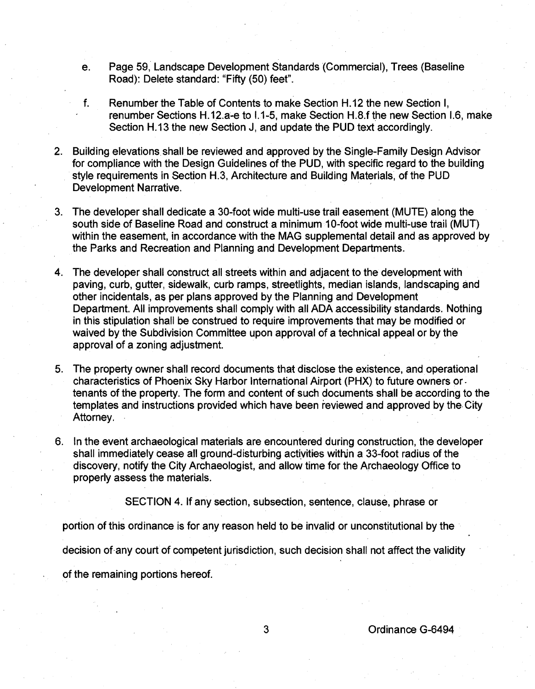- e. Page 59, Landscape Development Standards (Commercial), Trees (Baseline Road): Delete standard: "Fifty (50) feet".
- f. Renumber the Table of Contents to make Section H.12 the new Section I, renumber Sections H.12.a-e to 1.1-5, make Section H.8.f the new Section 1.6, make Section H.13 the new Section J, and update the PUD text accordingly.
- 2. Building elevations. shall be reviewed and approved by the Single-Family Design Advisor for compliance with the Design Guidelines of the PUD, with specific regard to the building style requirements in Section H.3, Architecture and Building Materials, of the PUD Development Narrative.
- 3. The developer shall dedicate a 30-foot wide multi-use trail easement (MUTE) along the south side of Baseline Road and construct a minimum 10-foot wide multi-use trail (MUT) within the easement, in accordance with the MAG supplemental detail and as approved by the Parks and Recreation and Planning and Development Departments.
- 4. The developer shall construct all streets within and adjacent to the development with paving, curb, gutter, sidewalk, curb ramps, streetlights, median islands, landscaping and other incidentals, as per plans approved by the Planning and Development Department. All improvements shall comply with all ADA accessibility standards. Nothing in this stipulation shall be construed to require improvements that may be modified or waived by the Subdivision Committee upon approval of a technical appeal or by the approval of a zoning adjustment.
- 5. The property owner shall record documents that disclose the existence, and operational characteristics of Phoenix Sky Harbor International Airport (PHX) to future owners or. tenants of the property. The form and content of such documents shall be according to the templates and instructions provided which have been reviewed and approved by the. City Attorney.
- 6. In the event archaeological materials are encountered during construction, the developer shall immediately cease all ground-disturbing actiyities within a 33-foot radius of the discovery, notify the City Archaeologist, and allow time for the Archaeology Office to properly assess the materials.

SECTION 4. If any section, subsection, sentence, clause, phrase or

portion of this ordinance is for any reason held to be invalid or unconstitutional by the

decision of. any court of competent jurisdiction, such decision shall not affect the validity

of the remaining portions hereof.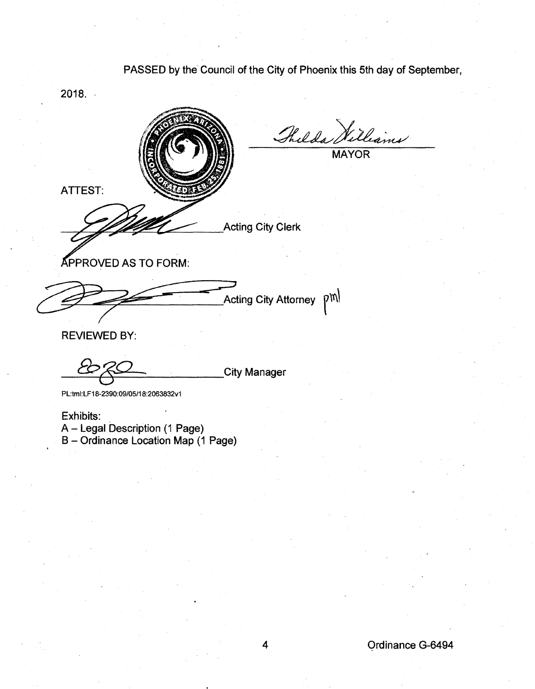PASSED by the Council of the City of Phoenix this 5th day of September,



Exhibits:

A~ Legal Description (1 Page) B- Ordinance Location Map (1 Page)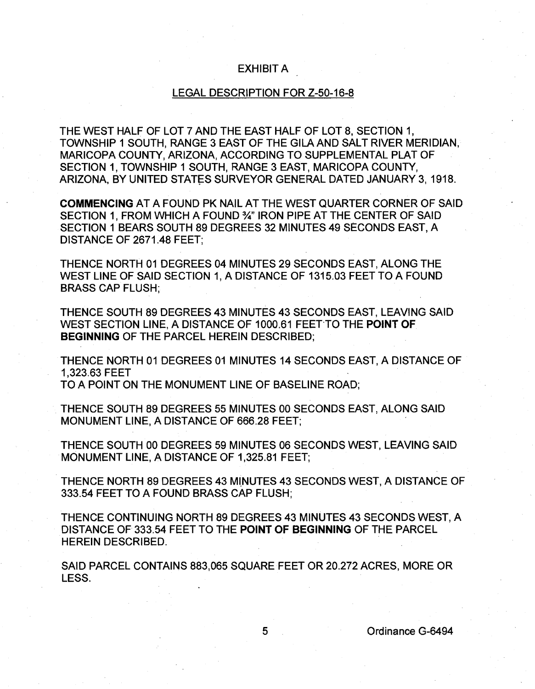## EXHIBIT A

## LEGAL DESCRIPTION FOR Z-50-16-8

THE WEST HALF OF LOT 7 AND THE EAST HALF OF LOT 8, SECTION 1, TOWNSHIP 1 SOUTH, RANGE 3 EAST OF THE GILA AND SALT RIVER MERIDIAN, MARICOPA COUNTY, ARIZONA, ACCORDING TO SUPPLEMENTAL PLAT OF SECTION 1, TOWNSHIP 1 SOUTH, RANGE 3 EAST, MARICOPA COUNTY, ARIZONA, BY UNITED STATES SURVEYOR GENERAL DATED JANUARY 3, 1918.

COMMENCING AT A FOUND PK NAIL AT THE WEST QUARTER CORNER OF SAID SECTION 1, FROM WHICH A FOUND 3/4" IRON PIPE AT THE CENTER OF SAID SECTION 1 BEARS SOUTH 89 DEGREES 32 MINUTES 49 SECONDS EAST, A DISTANCE OF 2671.48 FEET;

THENCE NORTH 01 DEGREES 04 MINUTES 29 SECONDS EAST, ALONG THE WEST LINE OF SAID SECTION 1, A DISTANCE OF 1315.03 FEET TO A FOUND BRASS CAP FLUSH;

THENCE SOUTH 89 DEGREES 43 MINUTES 43 SECONDS EAST, LEAVING SAID WEST SECTION LINE, A DISTANCE OF 1000.61 FEET TO THE POINT OF BEGINNING OF THE PARCEL HEREIN DESCRIBED;

THENCE NORTH 01 DEGREES 01 MINUTES 14 SECONDS EAST, A DISTANCE OF 1 ,323.63 FEET

TO A POINT ON THE MONUMENT LINE OF BASELINE ROAD;

THENCE SOUTH 89 DEGREES 55 MINUTES 00 SECONDS EAST, ALONG SAID MONUMENT LINE, A DISTANCE OF 666.28 FEET; .

THENCE SOUTH 00 DEGREES 59 MINUTES 06 SECONDS WEST, LEAVING SAID MONUMENT LINE, A DISTANCE OF 1,325.81 FEET;

THENCE NORTH 89 DEGREES 43 MINUTES 43 SECONDS WEST, A DISTANCE OF 333.54 FEET TO A FOUND BRASS CAP FLUSH;

THENCE CONTINUING NORTH 89 DEGREES 43 MINUTES 43 SECONDS WEST, A DISTANCE OF 333.54 FEET TO THE POINT OF BEGINNING OF THE PARCEL HEREIN DESCRIBED.

SAID PARCEL CONTAINS 883,065 SQUARE FEET OR 20.272 ACRES, MORE OR LESS.

5 Ordinance G-6494